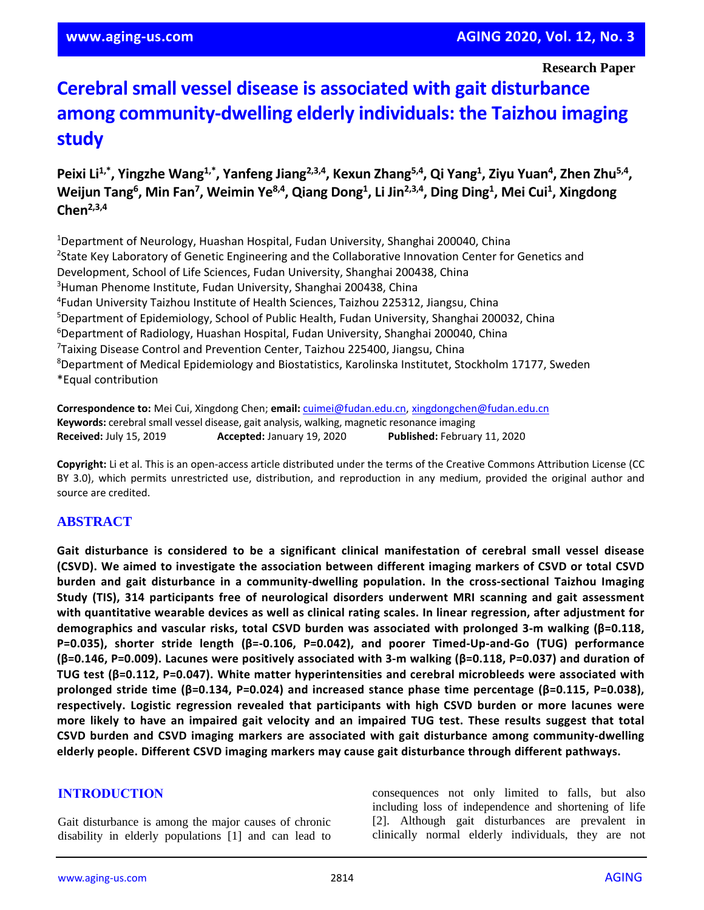**Research Paper**

# **Cerebral small vessel disease is associated with gait disturbance among community-dwelling elderly individuals: the Taizhou imaging study**

Peixi Li<sup>1,\*</sup>, Yingzhe Wang<sup>1,\*</sup>, Yanfeng Jiang<sup>2,3,4</sup>, Kexun Zhang<sup>5,4</sup>, Qi Yang<sup>1</sup>, Ziyu Yuan<sup>4</sup>, Zhen Zhu<sup>5,4</sup>,  $W$ eijun Tang<sup>6</sup>, Min Fan<sup>7</sup>, Weimin Ye<sup>8,4</sup>, Qiang Dong<sup>1</sup>, Li Jin<sup>2,3,4</sup>, Ding Ding<sup>1</sup>, Mei Cui<sup>1</sup>, Xingdong **Chen2,3,4**

<sup>1</sup>Department of Neurology, Huashan Hospital, Fudan University, Shanghai 200040, China <sup>2</sup>State Key Laboratory of Genetic Engineering and the Collaborative Innovation Center for Genetics and Development, School of Life Sciences, Fudan University, Shanghai 200438, China <sup>3</sup>Human Phenome Institute, Fudan University, Shanghai 200438, China 4 Fudan University Taizhou Institute of Health Sciences, Taizhou 225312, Jiangsu, China <sup>5</sup>Department of Epidemiology, School of Public Health, Fudan University, Shanghai 200032, China <sup>6</sup>Department of Radiology, Huashan Hospital, Fudan University, Shanghai 200040, China 7 Taixing Disease Control and Prevention Center, Taizhou 225400, Jiangsu, China <sup>8</sup>Department of Medical Epidemiology and Biostatistics, Karolinska Institutet, Stockholm 17177, Sweden \*Equal contribution

**Correspondence to:** Mei Cui, Xingdong Chen; **email:** [cuimei@fudan.edu.cn,](mailto:cuimei@fudan.edu.cn) [xingdongchen@fudan.edu.cn](mailto:xingdongchen@fudan.edu.cn) **Keywords:** cerebral small vessel disease, gait analysis, walking, magnetic resonance imaging **Received:** July 15, 2019 **Accepted:** January 19, 2020 **Published:** February 11, 2020

**Copyright:** Li et al. This is an open-access article distributed under the terms of the Creative Commons Attribution License (CC BY 3.0), which permits unrestricted use, distribution, and reproduction in any medium, provided the original author and source are credited.

# **ABSTRACT**

**Gait disturbance is considered to be a significant clinical manifestation of cerebral small vessel disease (CSVD). We aimed to investigate the association between different imaging markers of CSVD or total CSVD burden and gait disturbance in a community-dwelling population. In the cross-sectional Taizhou Imaging Study (TIS), 314 participants free of neurological disorders underwent MRI scanning and gait assessment with quantitative wearable devices as well as clinical rating scales. In linear regression, after adjustment for demographics and vascular risks, total CSVD burden was associated with prolonged 3-m walking (β=0.118, P=0.035), shorter stride length (β=-0.106, P=0.042), and poorer Timed-Up-and-Go (TUG) performance (β=0.146, P=0.009). Lacunes were positively associated with 3-m walking (β=0.118, P=0.037) and duration of TUG test (β=0.112, P=0.047). White matter hyperintensities and cerebral microbleeds were associated with prolonged stride time (β=0.134, P=0.024) and increased stance phase time percentage (β=0.115, P=0.038), respectively. Logistic regression revealed that participants with high CSVD burden or more lacunes were** more likely to have an impaired gait velocity and an impaired TUG test. These results suggest that total **CSVD burden and CSVD imaging markers are associated with gait disturbance among community-dwelling elderly people. Different CSVD imaging markers may cause gait disturbance through different pathways.**

# **INTRODUCTION**

Gait disturbance is among the major causes of chronic disability in elderly populations [1] and can lead to consequences not only limited to falls, but also including loss of independence and shortening of life [2]. Although gait disturbances are prevalent in clinically normal elderly individuals, they are not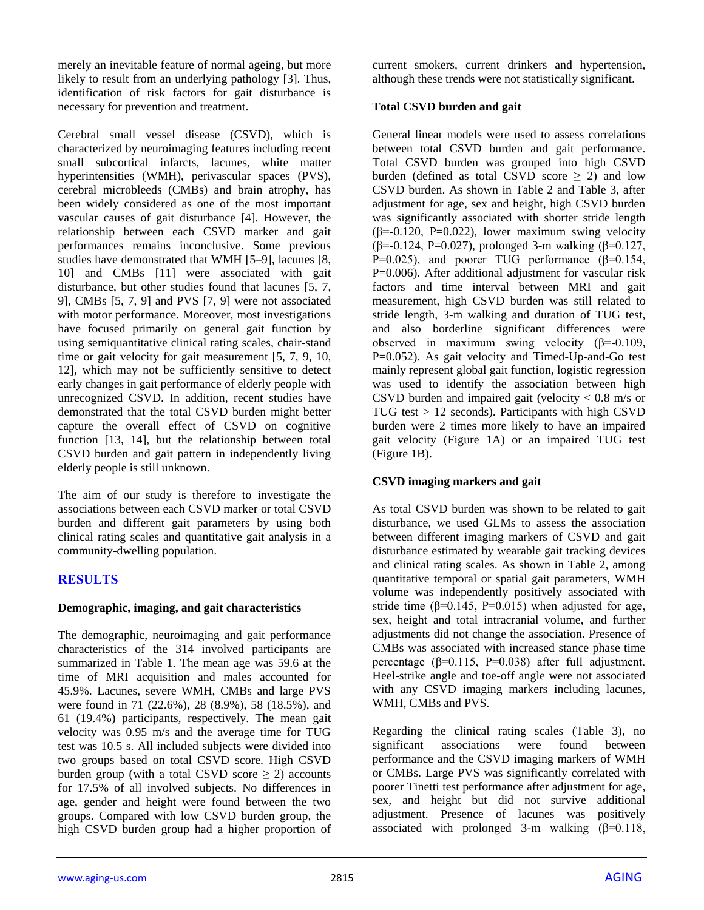merely an inevitable feature of normal ageing, but more likely to result from an underlying pathology [3]. Thus, identification of risk factors for gait disturbance is necessary for prevention and treatment.

Cerebral small vessel disease (CSVD), which is characterized by neuroimaging features including recent small subcortical infarcts, lacunes, white matter hyperintensities (WMH), perivascular spaces (PVS), cerebral microbleeds (CMBs) and brain atrophy, has been widely considered as one of the most important vascular causes of gait disturbance [4]. However, the relationship between each CSVD marker and gait performances remains inconclusive. Some previous studies have demonstrated that WMH [5–9], lacunes [8, 10] and CMBs [11] were associated with gait disturbance, but other studies found that lacunes [5, 7, 9], CMBs [5, 7, 9] and PVS [7, 9] were not associated with motor performance. Moreover, most investigations have focused primarily on general gait function by using semiquantitative clinical rating scales, chair-stand time or gait velocity for gait measurement [5, 7, 9, 10, 12], which may not be sufficiently sensitive to detect early changes in gait performance of elderly people with unrecognized CSVD. In addition, recent studies have demonstrated that the total CSVD burden might better capture the overall effect of CSVD on cognitive function [13, 14], but the relationship between total CSVD burden and gait pattern in independently living elderly people is still unknown.

The aim of our study is therefore to investigate the associations between each CSVD marker or total CSVD burden and different gait parameters by using both clinical rating scales and quantitative gait analysis in a community-dwelling population.

# **RESULTS**

## **Demographic, imaging, and gait characteristics**

The demographic, neuroimaging and gait performance characteristics of the 314 involved participants are summarized in Table 1. The mean age was 59.6 at the time of MRI acquisition and males accounted for 45.9%. Lacunes, severe WMH, CMBs and large PVS were found in 71 (22.6%), 28 (8.9%), 58 (18.5%), and 61 (19.4%) participants, respectively. The mean gait velocity was 0.95 m/s and the average time for TUG test was 10.5 s. All included subjects were divided into two groups based on total CSVD score. High CSVD burden group (with a total CSVD score  $\geq$  2) accounts for 17.5% of all involved subjects. No differences in age, gender and height were found between the two groups. Compared with low CSVD burden group, the high CSVD burden group had a higher proportion of current smokers, current drinkers and hypertension, although these trends were not statistically significant.

## **Total CSVD burden and gait**

General linear models were used to assess correlations between total CSVD burden and gait performance. Total CSVD burden was grouped into high CSVD burden (defined as total CSVD score  $\geq$  2) and low CSVD burden. As shown in Table 2 and Table 3, after adjustment for age, sex and height, high CSVD burden was significantly associated with shorter stride length  $(\beta = -0.120, P = 0.022)$ , lower maximum swing velocity (β=-0.124, P=0.027), prolonged 3-m walking (β=0.127, P=0.025), and poorer TUG performance  $(β=0.154,$ P=0.006). After additional adjustment for vascular risk factors and time interval between MRI and gait measurement, high CSVD burden was still related to stride length, 3-m walking and duration of TUG test, and also borderline significant differences were observed in maximum swing velocity (β=-0.109, P=0.052). As gait velocity and Timed-Up-and-Go test mainly represent global gait function, logistic regression was used to identify the association between high CSVD burden and impaired gait (velocity  $< 0.8$  m/s or TUG test  $> 12$  seconds). Participants with high CSVD burden were 2 times more likely to have an impaired gait velocity (Figure 1A) or an impaired TUG test (Figure 1B).

## **CSVD imaging markers and gait**

As total CSVD burden was shown to be related to gait disturbance, we used GLMs to assess the association between different imaging markers of CSVD and gait disturbance estimated by wearable gait tracking devices and clinical rating scales. As shown in Table 2, among quantitative temporal or spatial gait parameters, WMH volume was independently positively associated with stride time ( $\beta$ =0.145, P=0.015) when adjusted for age, sex, height and total intracranial volume, and further adjustments did not change the association. Presence of CMBs was associated with increased stance phase time percentage ( $\beta$ =0.115, P=0.038) after full adjustment. Heel-strike angle and toe-off angle were not associated with any CSVD imaging markers including lacunes, WMH, CMBs and PVS.

Regarding the clinical rating scales (Table 3), no significant associations were found between performance and the CSVD imaging markers of WMH or CMBs. Large PVS was significantly correlated with poorer Tinetti test performance after adjustment for age, sex, and height but did not survive additional adjustment. Presence of lacunes was positively associated with prolonged 3-m walking  $(\beta=0.118,$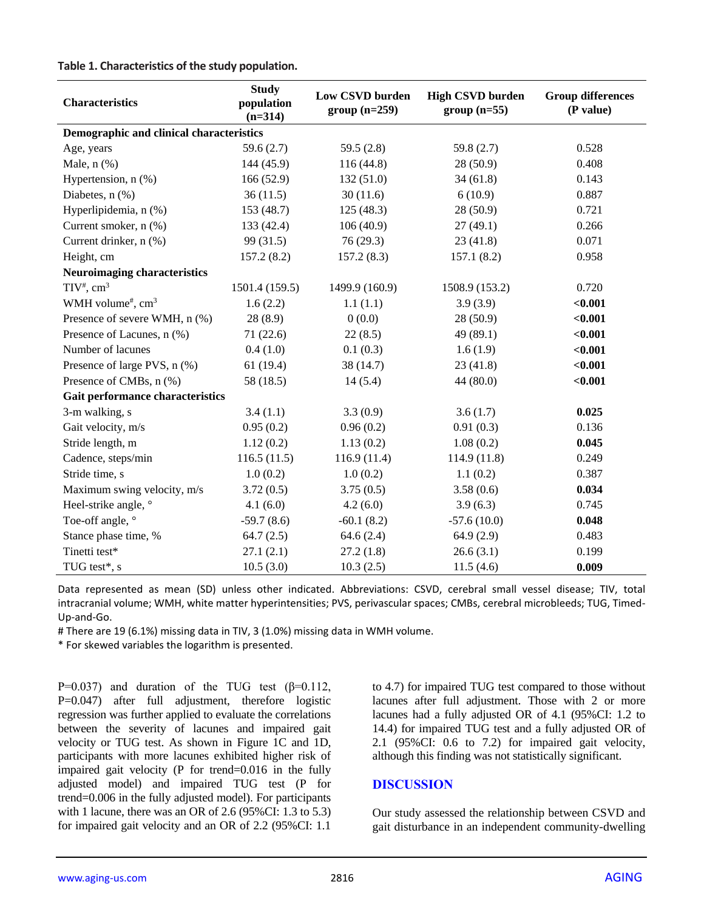**Table 1. Characteristics of the study population.**

| <b>Characteristics</b>                    | <b>Study</b><br>population<br>$(n=314)$ | Low CSVD burden<br>$group (n=259)$ | <b>High CSVD burden</b><br>$group(n=55)$ | <b>Group differences</b><br>(P value) |  |  |  |
|-------------------------------------------|-----------------------------------------|------------------------------------|------------------------------------------|---------------------------------------|--|--|--|
| Demographic and clinical characteristics  |                                         |                                    |                                          |                                       |  |  |  |
| Age, years                                | 59.6 $(2.7)$                            | 59.5 $(2.8)$                       | 59.8 (2.7)                               | 0.528                                 |  |  |  |
| Male, $n$ $(\%)$                          | 144 (45.9)                              | 116(44.8)                          | 28(50.9)                                 | 0.408                                 |  |  |  |
| Hypertension, n (%)                       | 166(52.9)                               | 132(51.0)                          | 34(61.8)                                 | 0.143                                 |  |  |  |
| Diabetes, n (%)                           | 36(11.5)                                | 30(11.6)                           | 6(10.9)                                  | 0.887                                 |  |  |  |
| Hyperlipidemia, n (%)                     | 153 (48.7)                              | 125(48.3)                          | 28(50.9)                                 | 0.721                                 |  |  |  |
| Current smoker, n (%)                     | 133 (42.4)                              | 106(40.9)                          | 27(49.1)                                 | 0.266                                 |  |  |  |
| Current drinker, n (%)                    | 99 (31.5)                               | 76(29.3)                           | 23(41.8)                                 | 0.071                                 |  |  |  |
| Height, cm                                | 157.2(8.2)                              | 157.2(8.3)                         | 157.1(8.2)                               | 0.958                                 |  |  |  |
| <b>Neuroimaging characteristics</b>       |                                         |                                    |                                          |                                       |  |  |  |
| $TIV^{\#}$ , cm <sup>3</sup>              | 1501.4 (159.5)                          | 1499.9 (160.9)                     | 1508.9 (153.2)                           | 0.720                                 |  |  |  |
| WMH volume <sup>#</sup> , cm <sup>3</sup> | 1.6(2.2)                                | 1.1(1.1)                           | 3.9(3.9)                                 | < 0.001                               |  |  |  |
| Presence of severe WMH, n (%)             | 28(8.9)                                 | 0(0.0)                             | 28 (50.9)                                | < 0.001                               |  |  |  |
| Presence of Lacunes, n (%)                | 71(22.6)                                | 22(8.5)                            | 49 (89.1)                                | $0.001$                               |  |  |  |
| Number of lacunes                         | 0.4(1.0)                                | 0.1(0.3)                           | 1.6(1.9)                                 | < 0.001                               |  |  |  |
| Presence of large PVS, n (%)              | 61(19.4)                                | 38 (14.7)                          | 23(41.8)                                 | < 0.001                               |  |  |  |
| Presence of CMBs, n (%)                   | 58 (18.5)                               | 14(5.4)                            | 44 (80.0)                                | < 0.001                               |  |  |  |
| Gait performance characteristics          |                                         |                                    |                                          |                                       |  |  |  |
| 3-m walking, s                            | 3.4(1.1)                                | 3.3(0.9)                           | 3.6(1.7)                                 | 0.025                                 |  |  |  |
| Gait velocity, m/s                        | 0.95(0.2)                               | 0.96(0.2)                          | 0.91(0.3)                                | 0.136                                 |  |  |  |
| Stride length, m                          | 1.12(0.2)                               | 1.13(0.2)                          | 1.08(0.2)                                | 0.045                                 |  |  |  |
| Cadence, steps/min                        | 116.5(11.5)                             | 116.9(11.4)                        | 114.9(11.8)                              | 0.249                                 |  |  |  |
| Stride time, s                            | 1.0(0.2)                                | 1.0(0.2)                           | 1.1(0.2)                                 | 0.387                                 |  |  |  |
| Maximum swing velocity, m/s               | 3.72(0.5)                               | 3.75(0.5)                          | 3.58(0.6)                                | 0.034                                 |  |  |  |
| Heel-strike angle, °                      | 4.1(6.0)                                | 4.2(6.0)                           | 3.9(6.3)                                 | 0.745                                 |  |  |  |
| Toe-off angle, °                          | $-59.7(8.6)$                            | $-60.1(8.2)$                       | $-57.6(10.0)$                            | 0.048                                 |  |  |  |
| Stance phase time, %                      | 64.7(2.5)                               | 64.6(2.4)                          | 64.9(2.9)                                | 0.483                                 |  |  |  |
| Tinetti test*                             | 27.1(2.1)                               | 27.2(1.8)                          | 26.6(3.1)                                | 0.199                                 |  |  |  |
| TUG test*, s                              | 10.5(3.0)                               | 10.3(2.5)                          | 11.5(4.6)                                | 0.009                                 |  |  |  |

Data represented as mean (SD) unless other indicated. Abbreviations: CSVD, cerebral small vessel disease; TIV, total intracranial volume; WMH, white matter hyperintensities; PVS, perivascular spaces; CMBs, cerebral microbleeds; TUG, Timed-Up-and-Go.

# There are 19 (6.1%) missing data in TIV, 3 (1.0%) missing data in WMH volume.

\* For skewed variables the logarithm is presented.

P=0.037) and duration of the TUG test  $(β=0.112,$ P=0.047) after full adjustment, therefore logistic regression was further applied to evaluate the correlations between the severity of lacunes and impaired gait velocity or TUG test. As shown in Figure 1C and 1D, participants with more lacunes exhibited higher risk of impaired gait velocity (P for trend=0.016 in the fully adjusted model) and impaired TUG test (P for trend=0.006 in the fully adjusted model). For participants with 1 lacune, there was an OR of 2.6 (95%CI: 1.3 to 5.3) for impaired gait velocity and an OR of 2.2 (95%CI: 1.1

to 4.7) for impaired TUG test compared to those without lacunes after full adjustment. Those with 2 or more lacunes had a fully adjusted OR of 4.1 (95%CI: 1.2 to 14.4) for impaired TUG test and a fully adjusted OR of 2.1 (95%CI: 0.6 to 7.2) for impaired gait velocity, although this finding was not statistically significant.

## **DISCUSSION**

Our study assessed the relationship between CSVD and gait disturbance in an independent community-dwelling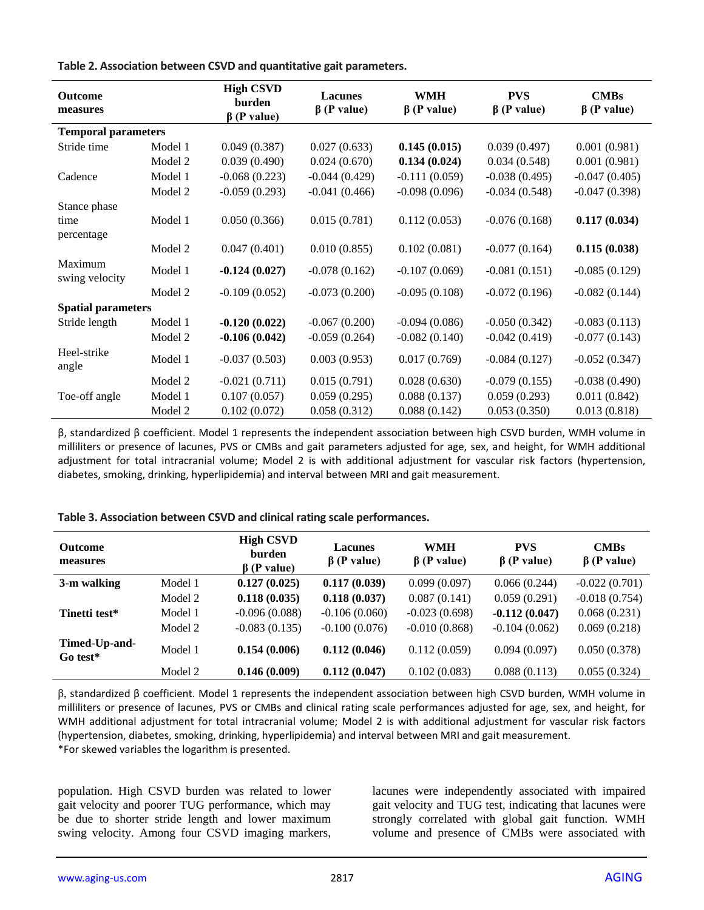**Table 2. Association between CSVD and quantitative gait parameters.**

| <b>Outcome</b><br>measures |         | <b>High CSVD</b><br>burden<br>$\beta$ (P value) | <b>Lacunes</b><br>$\beta$ (P value) | <b>WMH</b><br>$\beta$ (P value) | <b>PVS</b><br>$\beta$ (P value) | <b>CMBs</b><br>$\beta$ (P value) |
|----------------------------|---------|-------------------------------------------------|-------------------------------------|---------------------------------|---------------------------------|----------------------------------|
| <b>Temporal parameters</b> |         |                                                 |                                     |                                 |                                 |                                  |
| Stride time                | Model 1 | 0.049(0.387)                                    | 0.027(0.633)                        | 0.145(0.015)                    | 0.039(0.497)                    | 0.001(0.981)                     |
|                            | Model 2 | 0.039(0.490)                                    | 0.024(0.670)                        | 0.134(0.024)                    | 0.034(0.548)                    | 0.001(0.981)                     |
| Cadence                    | Model 1 | $-0.068(0.223)$                                 | $-0.044(0.429)$                     | $-0.111(0.059)$                 | $-0.038(0.495)$                 | $-0.047(0.405)$                  |
|                            | Model 2 | $-0.059(0.293)$                                 | $-0.041(0.466)$                     | $-0.098(0.096)$                 | $-0.034(0.548)$                 | $-0.047(0.398)$                  |
| Stance phase               |         |                                                 |                                     |                                 |                                 |                                  |
| time<br>percentage         | Model 1 | 0.050(0.366)                                    | 0.015(0.781)                        | 0.112(0.053)                    | $-0.076(0.168)$                 | 0.117(0.034)                     |
|                            | Model 2 | 0.047(0.401)                                    | 0.010(0.855)                        | 0.102(0.081)                    | $-0.077(0.164)$                 | 0.115(0.038)                     |
| Maximum<br>swing velocity  | Model 1 | $-0.124(0.027)$                                 | $-0.078(0.162)$                     | $-0.107(0.069)$                 | $-0.081(0.151)$                 | $-0.085(0.129)$                  |
|                            | Model 2 | $-0.109(0.052)$                                 | $-0.073(0.200)$                     | $-0.095(0.108)$                 | $-0.072(0.196)$                 | $-0.082(0.144)$                  |
| <b>Spatial parameters</b>  |         |                                                 |                                     |                                 |                                 |                                  |
| Stride length              | Model 1 | $-0.120(0.022)$                                 | $-0.067(0.200)$                     | $-0.094(0.086)$                 | $-0.050(0.342)$                 | $-0.083(0.113)$                  |
|                            | Model 2 | $-0.106(0.042)$                                 | $-0.059(0.264)$                     | $-0.082(0.140)$                 | $-0.042(0.419)$                 | $-0.077(0.143)$                  |
| Heel-strike<br>angle       | Model 1 | $-0.037(0.503)$                                 | 0.003(0.953)                        | 0.017(0.769)                    | $-0.084(0.127)$                 | $-0.052(0.347)$                  |
|                            | Model 2 | $-0.021(0.711)$                                 | 0.015(0.791)                        | 0.028(0.630)                    | $-0.079(0.155)$                 | $-0.038(0.490)$                  |
| Toe-off angle              | Model 1 | 0.107(0.057)                                    | 0.059(0.295)                        | 0.088(0.137)                    | 0.059(0.293)                    | 0.011(0.842)                     |
|                            | Model 2 | 0.102(0.072)                                    | 0.058(0.312)                        | 0.088(0.142)                    | 0.053(0.350)                    | 0.013(0.818)                     |

β, standardized β coefficient. Model 1 represents the independent association between high CSVD burden, WMH volume in milliliters or presence of lacunes, PVS or CMBs and gait parameters adjusted for age, sex, and height, for WMH additional adjustment for total intracranial volume; Model 2 is with additional adjustment for vascular risk factors (hypertension, diabetes, smoking, drinking, hyperlipidemia) and interval between MRI and gait measurement.

**Table 3. Association between CSVD and clinical rating scale performances.**

| <b>Outcome</b><br>measures |         | <b>High CSVD</b><br>burden<br>$\beta$ (P value) | <b>Lacunes</b><br>$\beta$ (P value) | <b>WMH</b><br>$\beta$ (P value) | <b>PVS</b><br>$\beta$ (P value) | <b>CMBs</b><br>$\beta$ (P value) |
|----------------------------|---------|-------------------------------------------------|-------------------------------------|---------------------------------|---------------------------------|----------------------------------|
| 3-m walking                | Model 1 | 0.127(0.025)                                    | 0.117(0.039)                        | 0.099(0.097)                    | 0.066(0.244)                    | $-0.022(0.701)$                  |
|                            | Model 2 | 0.118(0.035)                                    | 0.118(0.037)                        | 0.087(0.141)                    | 0.059(0.291)                    | $-0.018(0.754)$                  |
| Tinetti test*              | Model 1 | $-0.096(0.088)$                                 | $-0.106(0.060)$                     | $-0.023(0.698)$                 | $-0.112(0.047)$                 | 0.068(0.231)                     |
|                            | Model 2 | $-0.083(0.135)$                                 | $-0.100(0.076)$                     | $-0.010(0.868)$                 | $-0.104(0.062)$                 | 0.069(0.218)                     |
| Timed-Up-and-<br>Go test*  | Model 1 | 0.154(0.006)                                    | 0.112(0.046)                        | 0.112(0.059)                    | 0.094(0.097)                    | 0.050(0.378)                     |
|                            | Model 2 | 0.146(0.009)                                    | 0.112(0.047)                        | 0.102(0.083)                    | 0.088(0.113)                    | 0.055(0.324)                     |

β, standardized β coefficient. Model 1 represents the independent association between high CSVD burden, WMH volume in milliliters or presence of lacunes, PVS or CMBs and clinical rating scale performances adjusted for age, sex, and height, for WMH additional adjustment for total intracranial volume; Model 2 is with additional adjustment for vascular risk factors (hypertension, diabetes, smoking, drinking, hyperlipidemia) and interval between MRI and gait measurement. \*For skewed variables the logarithm is presented.

population. High CSVD burden was related to lower gait velocity and poorer TUG performance, which may be due to shorter stride length and lower maximum swing velocity. Among four CSVD imaging markers,

lacunes were independently associated with impaired gait velocity and TUG test, indicating that lacunes were strongly correlated with global gait function. WMH volume and presence of CMBs were associated with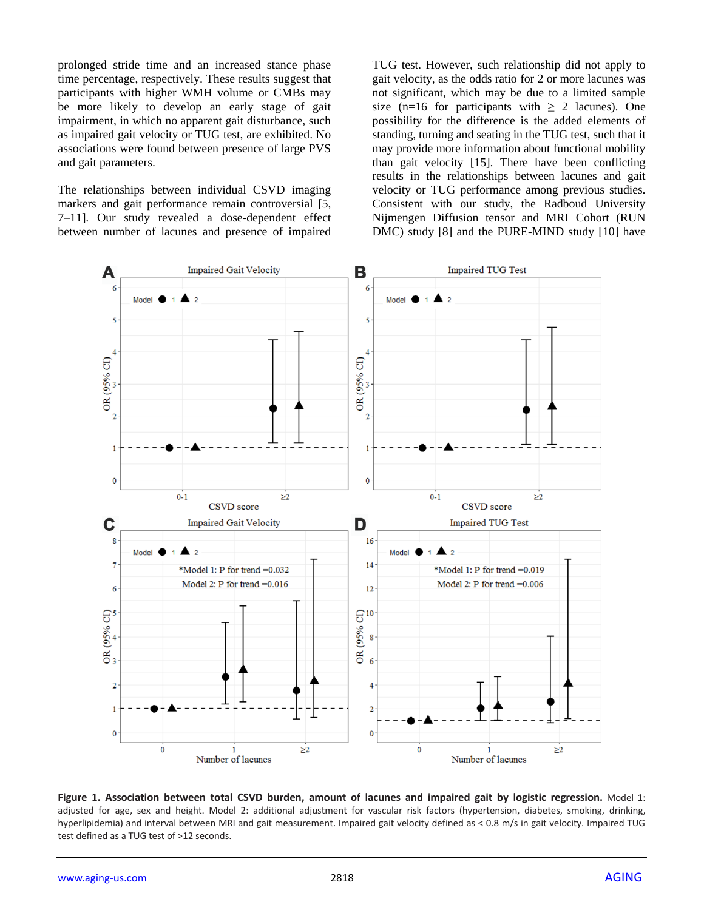prolonged stride time and an increased stance phase time percentage, respectively. These results suggest that participants with higher WMH volume or CMBs may be more likely to develop an early stage of gait impairment, in which no apparent gait disturbance, such as impaired gait velocity or TUG test, are exhibited. No associations were found between presence of large PVS and gait parameters.

The relationships between individual CSVD imaging markers and gait performance remain controversial [5, 7–11]. Our study revealed a dose-dependent effect between number of lacunes and presence of impaired TUG test. However, such relationship did not apply to gait velocity, as the odds ratio for 2 or more lacunes was not significant, which may be due to a limited sample size (n=16 for participants with  $\geq$  2 lacunes). One possibility for the difference is the added elements of standing, turning and seating in the TUG test, such that it may provide more information about functional mobility than gait velocity [15]. There have been conflicting results in the relationships between lacunes and gait velocity or TUG performance among previous studies. Consistent with our study, the Radboud University Nijmengen Diffusion tensor and MRI Cohort (RUN DMC) study [8] and the PURE-MIND study [10] have



**Figure 1. Association between total CSVD burden, amount of lacunes and impaired gait by logistic regression.** Model 1: adjusted for age, sex and height. Model 2: additional adjustment for vascular risk factors (hypertension, diabetes, smoking, drinking, hyperlipidemia) and interval between MRI and gait measurement. Impaired gait velocity defined as < 0.8 m/s in gait velocity. Impaired TUG test defined as a TUG test of >12 seconds.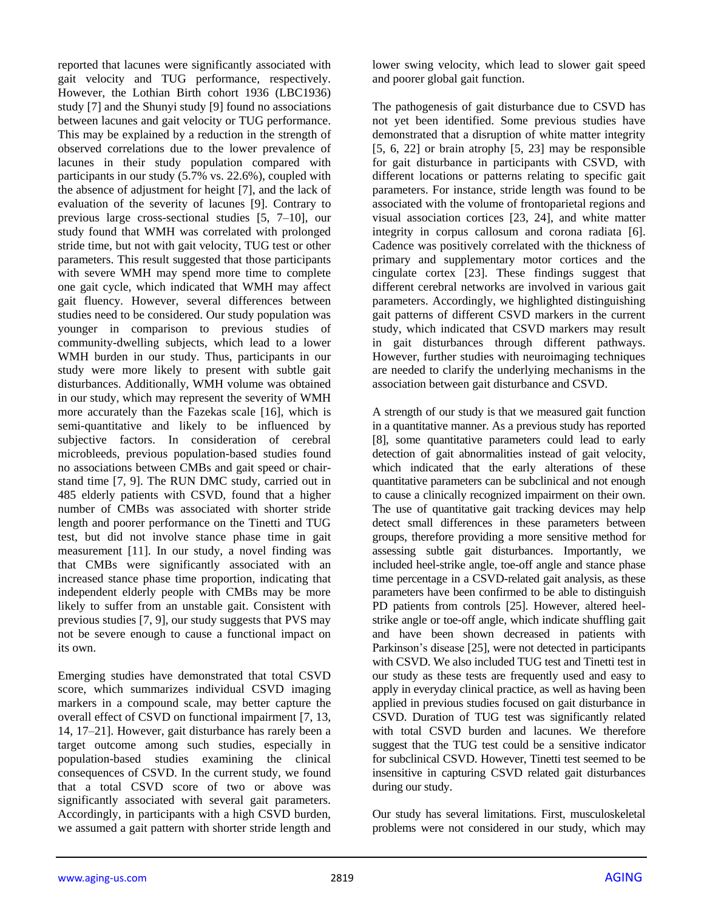reported that lacunes were significantly associated with gait velocity and TUG performance, respectively. However, the Lothian Birth cohort 1936 (LBC1936) study [7] and the Shunyi study [9] found no associations between lacunes and gait velocity or TUG performance. This may be explained by a reduction in the strength of observed correlations due to the lower prevalence of lacunes in their study population compared with participants in our study (5.7% vs. 22.6%), coupled with the absence of adjustment for height [7], and the lack of evaluation of the severity of lacunes [9]. Contrary to previous large cross-sectional studies [5, 7–10], our study found that WMH was correlated with prolonged stride time, but not with gait velocity, TUG test or other parameters. This result suggested that those participants with severe WMH may spend more time to complete one gait cycle, which indicated that WMH may affect gait fluency. However, several differences between studies need to be considered. Our study population was younger in comparison to previous studies of community-dwelling subjects, which lead to a lower WMH burden in our study. Thus, participants in our study were more likely to present with subtle gait disturbances. Additionally, WMH volume was obtained in our study, which may represent the severity of WMH more accurately than the Fazekas scale [16], which is semi-quantitative and likely to be influenced by subjective factors. In consideration of cerebral microbleeds, previous population-based studies found no associations between CMBs and gait speed or chairstand time [7, 9]. The RUN DMC study, carried out in 485 elderly patients with CSVD, found that a higher number of CMBs was associated with shorter stride length and poorer performance on the Tinetti and TUG test, but did not involve stance phase time in gait measurement [11]. In our study, a novel finding was that CMBs were significantly associated with an increased stance phase time proportion, indicating that independent elderly people with CMBs may be more likely to suffer from an unstable gait. Consistent with previous studies [7, 9], our study suggests that PVS may not be severe enough to cause a functional impact on its own.

Emerging studies have demonstrated that total CSVD score, which summarizes individual CSVD imaging markers in a compound scale, may better capture the overall effect of CSVD on functional impairment [7, 13, 14, 17–21]. However, gait disturbance has rarely been a target outcome among such studies, especially in population-based studies examining the clinical consequences of CSVD. In the current study, we found that a total CSVD score of two or above was significantly associated with several gait parameters. Accordingly, in participants with a high CSVD burden, we assumed a gait pattern with shorter stride length and lower swing velocity, which lead to slower gait speed and poorer global gait function.

The pathogenesis of gait disturbance due to CSVD has not yet been identified. Some previous studies have demonstrated that a disruption of white matter integrity [5, 6, 22] or brain atrophy [5, 23] may be responsible for gait disturbance in participants with CSVD, with different locations or patterns relating to specific gait parameters. For instance, stride length was found to be associated with the volume of frontoparietal regions and visual association cortices [23, 24], and white matter integrity in corpus callosum and corona radiata [6]. Cadence was positively correlated with the thickness of primary and supplementary motor cortices and the cingulate cortex [23]. These findings suggest that different cerebral networks are involved in various gait parameters. Accordingly, we highlighted distinguishing gait patterns of different CSVD markers in the current study, which indicated that CSVD markers may result in gait disturbances through different pathways. However, further studies with neuroimaging techniques are needed to clarify the underlying mechanisms in the association between gait disturbance and CSVD.

A strength of our study is that we measured gait function in a quantitative manner. As a previous study has reported [8], some quantitative parameters could lead to early detection of gait abnormalities instead of gait velocity, which indicated that the early alterations of these quantitative parameters can be subclinical and not enough to cause a clinically recognized impairment on their own. The use of quantitative gait tracking devices may help detect small differences in these parameters between groups, therefore providing a more sensitive method for assessing subtle gait disturbances. Importantly, we included heel-strike angle, toe-off angle and stance phase time percentage in a CSVD-related gait analysis, as these parameters have been confirmed to be able to distinguish PD patients from controls [25]. However, altered heelstrike angle or toe-off angle, which indicate shuffling gait and have been shown decreased in patients with Parkinson's disease [25], were not detected in participants with CSVD. We also included TUG test and Tinetti test in our study as these tests are frequently used and easy to apply in everyday clinical practice, as well as having been applied in previous studies focused on gait disturbance in CSVD. Duration of TUG test was significantly related with total CSVD burden and lacunes. We therefore suggest that the TUG test could be a sensitive indicator for subclinical CSVD. However, Tinetti test seemed to be insensitive in capturing CSVD related gait disturbances during our study.

Our study has several limitations. First, musculoskeletal problems were not considered in our study, which may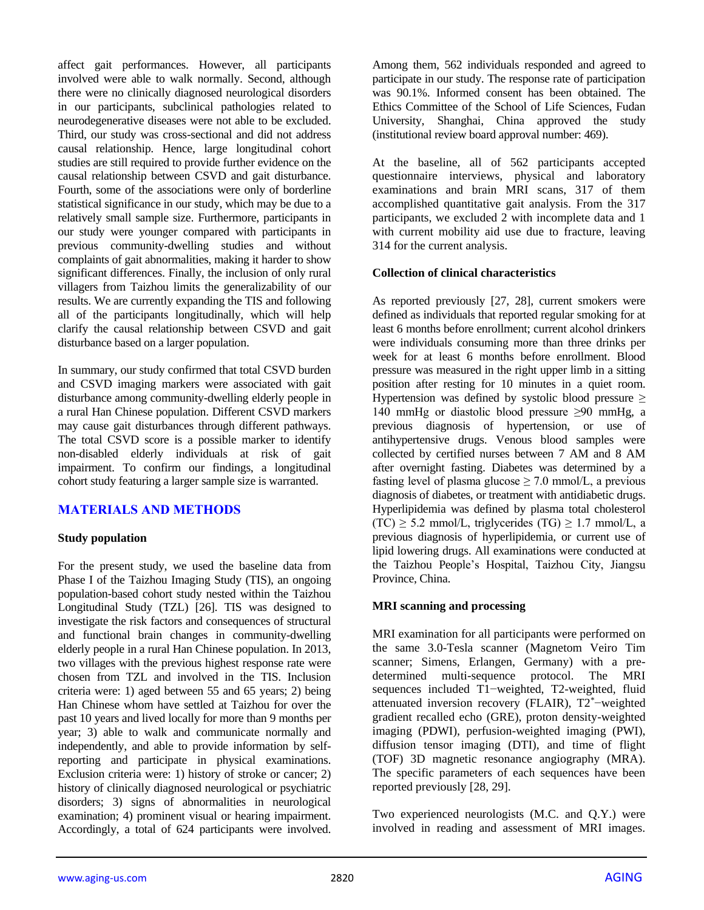affect gait performances. However, all participants involved were able to walk normally. Second, although there were no clinically diagnosed neurological disorders in our participants, subclinical pathologies related to neurodegenerative diseases were not able to be excluded. Third, our study was cross-sectional and did not address causal relationship. Hence, large longitudinal cohort studies are still required to provide further evidence on the causal relationship between CSVD and gait disturbance. Fourth, some of the associations were only of borderline statistical significance in our study, which may be due to a relatively small sample size. Furthermore, participants in our study were younger compared with participants in previous community-dwelling studies and without complaints of gait abnormalities, making it harder to show significant differences. Finally, the inclusion of only rural villagers from Taizhou limits the generalizability of our results. We are currently expanding the TIS and following all of the participants longitudinally, which will help clarify the causal relationship between CSVD and gait disturbance based on a larger population.

In summary, our study confirmed that total CSVD burden and CSVD imaging markers were associated with gait disturbance among community-dwelling elderly people in a rural Han Chinese population. Different CSVD markers may cause gait disturbances through different pathways. The total CSVD score is a possible marker to identify non-disabled elderly individuals at risk of gait impairment. To confirm our findings, a longitudinal cohort study featuring a larger sample size is warranted.

# **MATERIALS AND METHODS**

#### **Study population**

For the present study, we used the baseline data from Phase I of the Taizhou Imaging Study (TIS), an ongoing population-based cohort study nested within the Taizhou Longitudinal Study (TZL) [26]. TIS was designed to investigate the risk factors and consequences of structural and functional brain changes in community-dwelling elderly people in a rural Han Chinese population. In 2013, two villages with the previous highest response rate were chosen from TZL and involved in the TIS. Inclusion criteria were: 1) aged between 55 and 65 years; 2) being Han Chinese whom have settled at Taizhou for over the past 10 years and lived locally for more than 9 months per year; 3) able to walk and communicate normally and independently, and able to provide information by selfreporting and participate in physical examinations. Exclusion criteria were: 1) history of stroke or cancer; 2) history of clinically diagnosed neurological or psychiatric disorders; 3) signs of abnormalities in neurological examination; 4) prominent visual or hearing impairment. Accordingly, a total of 624 participants were involved. Among them, 562 individuals responded and agreed to participate in our study. The response rate of participation was 90.1%. Informed consent has been obtained. The Ethics Committee of the School of Life Sciences, Fudan University, Shanghai, China approved the study (institutional review board approval number: 469).

At the baseline, all of 562 participants accepted questionnaire interviews, physical and laboratory examinations and brain MRI scans, 317 of them accomplished quantitative gait analysis. From the 317 participants, we excluded 2 with incomplete data and 1 with current mobility aid use due to fracture, leaving 314 for the current analysis.

#### **Collection of clinical characteristics**

As reported previously [27, 28], current smokers were defined as individuals that reported regular smoking for at least 6 months before enrollment; current alcohol drinkers were individuals consuming more than three drinks per week for at least 6 months before enrollment. Blood pressure was measured in the right upper limb in a sitting position after resting for 10 minutes in a quiet room. Hypertension was defined by systolic blood pressure  $\geq$ 140 mmHg or diastolic blood pressure ≥90 mmHg, a previous diagnosis of hypertension, or use of antihypertensive drugs. Venous blood samples were collected by certified nurses between 7 AM and 8 AM after overnight fasting. Diabetes was determined by a fasting level of plasma glucose  $\geq$  7.0 mmol/L, a previous diagnosis of diabetes, or treatment with antidiabetic drugs. Hyperlipidemia was defined by plasma total cholesterol  $(TC) \geq 5.2$  mmol/L, triglycerides  $(TG) \geq 1.7$  mmol/L, a previous diagnosis of hyperlipidemia, or current use of lipid lowering drugs. All examinations were conducted at the Taizhou People's Hospital, Taizhou City, Jiangsu Province, China.

## **MRI scanning and processing**

MRI examination for all participants were performed on the same 3.0-Tesla scanner (Magnetom Veiro Tim scanner; Simens, Erlangen, Germany) with a predetermined multi-sequence protocol. The MRI sequences included T1−weighted, T2-weighted, fluid attenuated inversion recovery (FLAIR), T2\*−weighted gradient recalled echo (GRE), proton density-weighted imaging (PDWI), perfusion-weighted imaging (PWI), diffusion tensor imaging (DTI), and time of flight (TOF) 3D magnetic resonance angiography (MRA). The specific parameters of each sequences have been reported previously [28, 29].

Two experienced neurologists (M.C. and Q.Y.) were involved in reading and assessment of MRI images.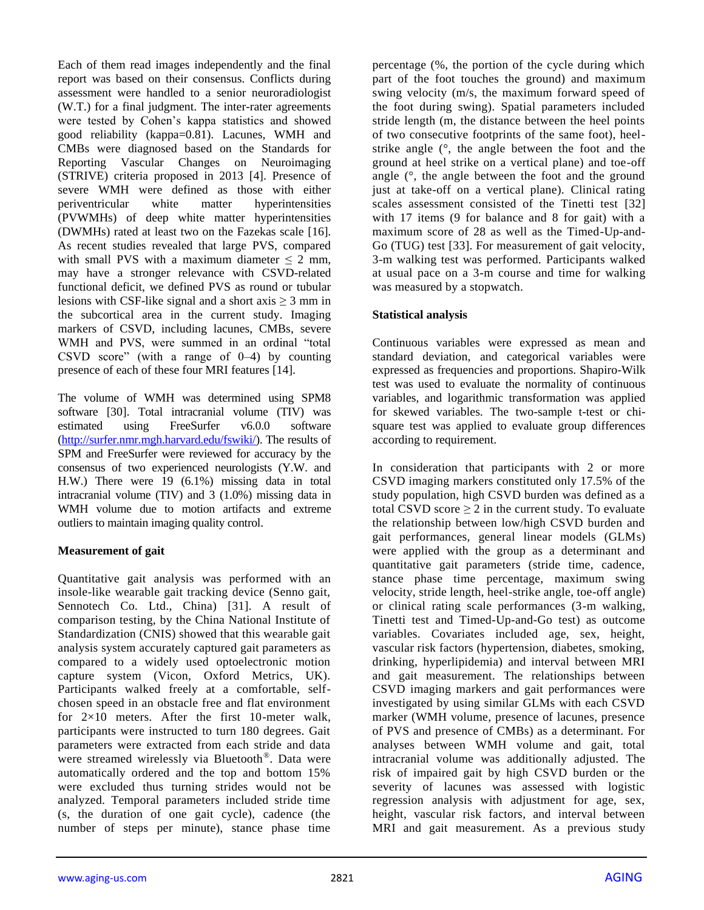Each of them read images independently and the final report was based on their consensus. Conflicts during assessment were handled to a senior neuroradiologist (W.T.) for a final judgment. The inter-rater agreements were tested by Cohen's kappa statistics and showed good reliability (kappa=0.81). Lacunes, WMH and CMBs were diagnosed based on the Standards for Reporting Vascular Changes on Neuroimaging (STRIVE) criteria proposed in 2013 [4]. Presence of severe WMH were defined as those with either periventricular white matter hyperintensities (PVWMHs) of deep white matter hyperintensities (DWMHs) rated at least two on the Fazekas scale [16]. As recent studies revealed that large PVS, compared with small PVS with a maximum diameter  $\leq 2$  mm, may have a stronger relevance with CSVD-related functional deficit, we defined PVS as round or tubular lesions with CSF-like signal and a short axis  $\geq$  3 mm in the subcortical area in the current study. Imaging markers of CSVD, including lacunes, CMBs, severe WMH and PVS, were summed in an ordinal "total CSVD score" (with a range of 0–4) by counting presence of each of these four MRI features [14].

The volume of WMH was determined using SPM8 software [30]. Total intracranial volume (TIV) was estimated using FreeSurfer v6.0.0 software [\(http://surfer.nmr.mgh.harvard.edu/fswiki/\)](http://surfer.nmr.mgh.harvard.edu/fswiki/). The results of SPM and FreeSurfer were reviewed for accuracy by the consensus of two experienced neurologists (Y.W. and H.W.) There were 19 (6.1%) missing data in total intracranial volume (TIV) and 3 (1.0%) missing data in WMH volume due to motion artifacts and extreme outliers to maintain imaging quality control.

# **Measurement of gait**

Quantitative gait analysis was performed with an insole-like wearable gait tracking device (Senno gait, Sennotech Co. Ltd., China) [31]. A result of comparison testing, by the China National Institute of Standardization (CNIS) showed that this wearable gait analysis system accurately captured gait parameters as compared to a widely used optoelectronic motion capture system (Vicon, Oxford Metrics, UK). Participants walked freely at a comfortable, selfchosen speed in an obstacle free and flat environment for  $2\times10$  meters. After the first 10-meter walk, participants were instructed to turn 180 degrees. Gait parameters were extracted from each stride and data were streamed wirelessly via Bluetooth® . Data were automatically ordered and the top and bottom 15% were excluded thus turning strides would not be analyzed. Temporal parameters included stride time (s, the duration of one gait cycle), cadence (the number of steps per minute), stance phase time

percentage (%, the portion of the cycle during which part of the foot touches the ground) and maximum swing velocity (m/s, the maximum forward speed of the foot during swing). Spatial parameters included stride length (m, the distance between the heel points of two consecutive footprints of the same foot), heelstrike angle (°, the angle between the foot and the ground at heel strike on a vertical plane) and toe-off angle (°, the angle between the foot and the ground just at take-off on a vertical plane). Clinical rating scales assessment consisted of the Tinetti test [32] with 17 items (9 for balance and 8 for gait) with a maximum score of 28 as well as the Timed-Up-and-Go (TUG) test [33]. For measurement of gait velocity, 3-m walking test was performed. Participants walked at usual pace on a 3-m course and time for walking was measured by a stopwatch.

# **Statistical analysis**

Continuous variables were expressed as mean and standard deviation, and categorical variables were expressed as frequencies and proportions. Shapiro-Wilk test was used to evaluate the normality of continuous variables, and logarithmic transformation was applied for skewed variables. The two-sample t-test or chisquare test was applied to evaluate group differences according to requirement.

In consideration that participants with 2 or more CSVD imaging markers constituted only 17.5% of the study population, high CSVD burden was defined as a total CSVD score  $\geq 2$  in the current study. To evaluate the relationship between low/high CSVD burden and gait performances, general linear models (GLMs) were applied with the group as a determinant and quantitative gait parameters (stride time, cadence, stance phase time percentage, maximum swing velocity, stride length, heel-strike angle, toe-off angle) or clinical rating scale performances (3-m walking, Tinetti test and Timed-Up-and-Go test) as outcome variables. Covariates included age, sex, height, vascular risk factors (hypertension, diabetes, smoking, drinking, hyperlipidemia) and interval between MRI and gait measurement. The relationships between CSVD imaging markers and gait performances were investigated by using similar GLMs with each CSVD marker (WMH volume, presence of lacunes, presence of PVS and presence of CMBs) as a determinant. For analyses between WMH volume and gait, total intracranial volume was additionally adjusted. The risk of impaired gait by high CSVD burden or the severity of lacunes was assessed with logistic regression analysis with adjustment for age, sex, height, vascular risk factors, and interval between MRI and gait measurement. As a previous study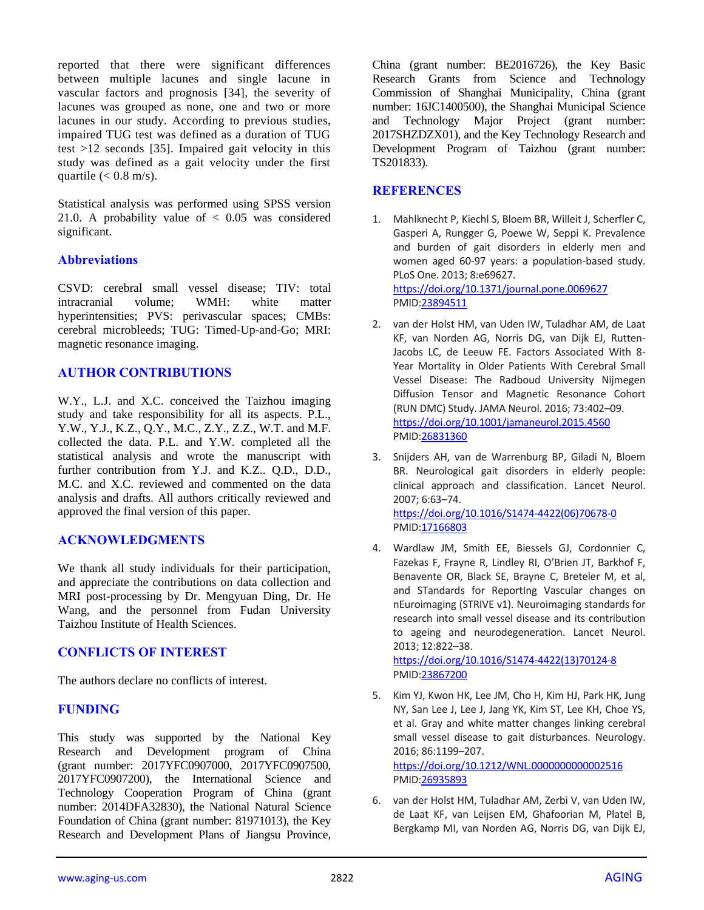reported that there were significant differences between multiple lacunes and single lacune in vascular factors and prognosis [34], the severity of lacunes was grouped as none, one and two or more lacunes in our study. According to previous studies, impaired TUG test was defined as a duration of TUG test >12 seconds [35]. Impaired gait velocity in this study was defined as a gait velocity under the first quartile  $(< 0.8$  m/s).

Statistical analysis was performed using SPSS version 21.0. A probability value of  $< 0.05$  was considered significant.

## **Abbreviations**

CSVD: cerebral small vessel disease; TIV: total intracranial volume; WMH: white matter hyperintensities; PVS: perivascular spaces; CMBs: cerebral microbleeds; TUG: Timed-Up-and-Go; MRI: magnetic resonance imaging.

# **AUTHOR CONTRIBUTIONS**

W.Y., L.J. and X.C. conceived the Taizhou imaging study and take responsibility for all its aspects. P.L., Y.W., Y.J., K.Z., Q.Y., M.C., Z.Y., Z.Z., W.T. and M.F. collected the data. P.L. and Y.W. completed all the statistical analysis and wrote the manuscript with further contribution from Y.J. and K.Z.. Q.D., D.D., M.C. and X.C. reviewed and commented on the data analysis and drafts. All authors critically reviewed and approved the final version of this paper.

# **ACKNOWLEDGMENTS**

We thank all study individuals for their participation, and appreciate the contributions on data collection and MRI post-processing by Dr. Mengyuan Ding, Dr. He Wang, and the personnel from Fudan University Taizhou Institute of Health Sciences.

## **CONFLICTS OF INTEREST**

The authors declare no conflicts of interest.

## **FUNDING**

This study was supported by the National Key Research and Development program of China (grant number: 2017YFC0907000, 2017YFC0907500, 2017YFC0907200), the International Science and Technology Cooperation Program of China (grant number: 2014DFA32830), the National Natural Science Foundation of China (grant number: 81971013), the Key Research and Development Plans of Jiangsu Province, China (grant number: BE2016726), the Key Basic Research Grants from Science and Technology Commission of Shanghai Municipality, China (grant number: 16JC1400500), the Shanghai Municipal Science and Technology Major Project (grant number: 2017SHZDZX01), and the Key Technology Research and Development Program of Taizhou (grant number: TS201833).

## **REFERENCES**

- 1. Mahlknecht P, Kiechl S, Bloem BR, Willeit J, Scherfler C, Gasperi A, Rungger G, Poewe W, Seppi K. Prevalence and burden of gait disorders in elderly men and women aged 60-97 years: a population-based study. PLoS One. 2013; 8:e69627. <https://doi.org/10.1371/journal.pone.0069627> PMI[D:23894511](https://www.ncbi.nlm.nih.gov/pubmed/23894511)
- 2. van der Holst HM, van Uden IW, Tuladhar AM, de Laat KF, van Norden AG, Norris DG, van Dijk EJ, Rutten-Jacobs LC, de Leeuw FE. Factors Associated With 8- Year Mortality in Older Patients With Cerebral Small Vessel Disease: The Radboud University Nijmegen Diffusion Tensor and Magnetic Resonance Cohort (RUN DMC) Study. JAMA Neurol. 2016; 73:402–09. <https://doi.org/10.1001/jamaneurol.2015.4560> PMI[D:26831360](https://www.ncbi.nlm.nih.gov/pubmed/26831360)
- 3. Snijders AH, van de Warrenburg BP, Giladi N, Bloem BR. Neurological gait disorders in elderly people: clinical approach and classification. Lancet Neurol. 2007; 6:63–74. [https://doi.org/10.1016/S1474-4422\(06\)70678-0](https://doi.org/10.1016/S1474-4422%2806%2970678-0) PMI[D:17166803](https://www.ncbi.nlm.nih.gov/pubmed/17166803)
- 4. Wardlaw JM, Smith EE, Biessels GJ, Cordonnier C, Fazekas F, Frayne R, Lindley RI, O'Brien JT, Barkhof F, Benavente OR, Black SE, Brayne C, Breteler M, et al, and STandards for ReportIng Vascular changes on nEuroimaging (STRIVE v1). Neuroimaging standards for research into small vessel disease and its contribution to ageing and neurodegeneration. Lancet Neurol. 2013; 12:822–38.

[https://doi.org/10.1016/S1474-4422\(13\)70124-8](https://doi.org/10.1016/S1474-4422%2813%2970124-8) PMI[D:23867200](https://www.ncbi.nlm.nih.gov/pubmed/23867200)

5. Kim YJ, Kwon HK, Lee JM, Cho H, Kim HJ, Park HK, Jung NY, San Lee J, Lee J, Jang YK, Kim ST, Lee KH, Choe YS, et al. Gray and white matter changes linking cerebral small vessel disease to gait disturbances. Neurology. 2016; 86:1199–207.

<https://doi.org/10.1212/WNL.0000000000002516> PMI[D:26935893](https://www.ncbi.nlm.nih.gov/pubmed/26935893)

6. van der Holst HM, Tuladhar AM, Zerbi V, van Uden IW, de Laat KF, van Leijsen EM, Ghafoorian M, Platel B, Bergkamp MI, van Norden AG, Norris DG, van Dijk EJ,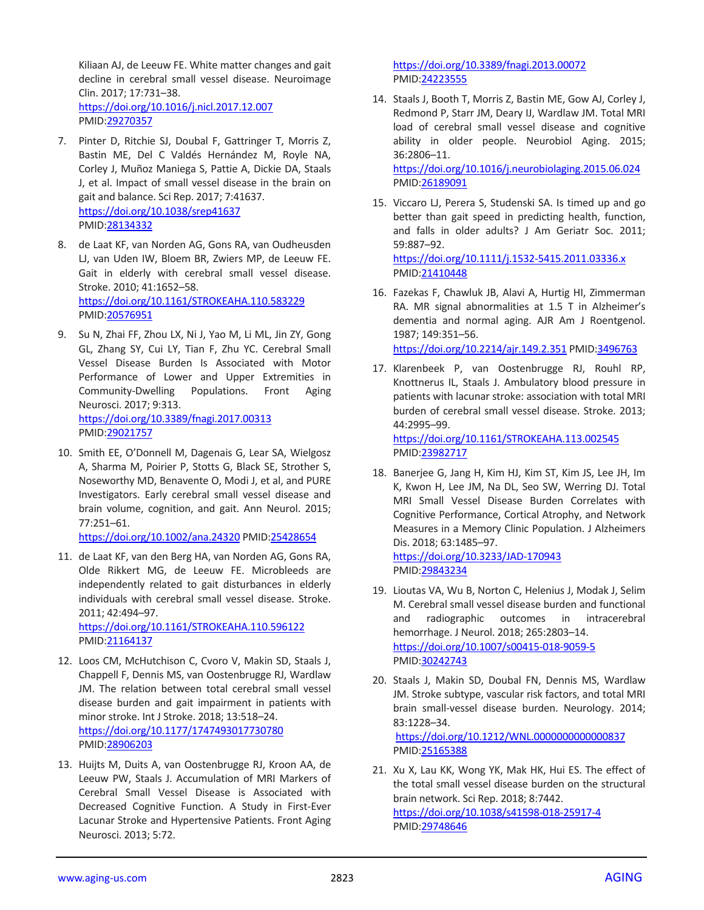Kiliaan AJ, de Leeuw FE. White matter changes and gait decline in cerebral small vessel disease. Neuroimage Clin. 2017; 17:731–38. <https://doi.org/10.1016/j.nicl.2017.12.007> PMID[:29270357](https://www.ncbi.nlm.nih.gov/pubmed/29270357)

- 7. Pinter D, Ritchie SJ, Doubal F, Gattringer T, Morris Z, Bastin ME, Del C Valdés Hernández M, Royle NA, Corley J, Muñoz Maniega S, Pattie A, Dickie DA, Staals J, et al. Impact of small vessel disease in the brain on gait and balance. Sci Rep. 2017; 7:41637. <https://doi.org/10.1038/srep41637> PMID[:28134332](https://www.ncbi.nlm.nih.gov/pubmed/28134332)
- 8. de Laat KF, van Norden AG, Gons RA, van Oudheusden LJ, van Uden IW, Bloem BR, Zwiers MP, de Leeuw FE. Gait in elderly with cerebral small vessel disease. Stroke. 2010; 41:1652–58. <https://doi.org/10.1161/STROKEAHA.110.583229> PMID[:20576951](https://www.ncbi.nlm.nih.gov/pubmed/20576951)
- 9. Su N, Zhai FF, Zhou LX, Ni J, Yao M, Li ML, Jin ZY, Gong GL, Zhang SY, Cui LY, Tian F, Zhu YC. Cerebral Small Vessel Disease Burden Is Associated with Motor Performance of Lower and Upper Extremities in Community-Dwelling Populations. Front Aging Neurosci. 2017; 9:313. <https://doi.org/10.3389/fnagi.2017.00313> PMID[:29021757](https://www.ncbi.nlm.nih.gov/pubmed/29021757)
- 10. Smith EE, O'Donnell M, Dagenais G, Lear SA, Wielgosz A, Sharma M, Poirier P, Stotts G, Black SE, Strother S, Noseworthy MD, Benavente O, Modi J, et al, and PURE Investigators. Early cerebral small vessel disease and brain volume, cognition, and gait. Ann Neurol. 2015; 77:251–61.

<https://doi.org/10.1002/ana.24320> PMI[D:25428654](https://www.ncbi.nlm.nih.gov/pubmed/25428654)

11. de Laat KF, van den Berg HA, van Norden AG, Gons RA, Olde Rikkert MG, de Leeuw FE. Microbleeds are independently related to gait disturbances in elderly individuals with cerebral small vessel disease. Stroke. 2011; 42:494–97.

<https://doi.org/10.1161/STROKEAHA.110.596122> PMID[:21164137](https://www.ncbi.nlm.nih.gov/pubmed/21164137)

- 12. Loos CM, McHutchison C, Cvoro V, Makin SD, Staals J, Chappell F, Dennis MS, van Oostenbrugge RJ, Wardlaw JM. The relation between total cerebral small vessel disease burden and gait impairment in patients with minor stroke. Int J Stroke. 2018; 13:518–24. <https://doi.org/10.1177/1747493017730780> PMID[:28906203](https://www.ncbi.nlm.nih.gov/pubmed/28906203)
- 13. Huijts M, Duits A, van Oostenbrugge RJ, Kroon AA, de Leeuw PW, Staals J. Accumulation of MRI Markers of Cerebral Small Vessel Disease is Associated with Decreased Cognitive Function. A Study in First-Ever Lacunar Stroke and Hypertensive Patients. Front Aging Neurosci. 2013; 5:72.

<https://doi.org/10.3389/fnagi.2013.00072> PMI[D:24223555](https://www.ncbi.nlm.nih.gov/pubmed/24223555)

- 14. Staals J, Booth T, Morris Z, Bastin ME, Gow AJ, Corley J, Redmond P, Starr JM, Deary IJ, Wardlaw JM. Total MRI load of cerebral small vessel disease and cognitive ability in older people. Neurobiol Aging. 2015; 36:2806–11. <https://doi.org/10.1016/j.neurobiolaging.2015.06.024> PMI[D:26189091](https://www.ncbi.nlm.nih.gov/pubmed/26189091)
- 15. Viccaro LJ, Perera S, Studenski SA. Is timed up and go better than gait speed in predicting health, function, and falls in older adults? J Am Geriatr Soc. 2011; 59:887–92. <https://doi.org/10.1111/j.1532-5415.2011.03336.x> PMI[D:21410448](https://www.ncbi.nlm.nih.gov/pubmed/21410448)
- 16. Fazekas F, Chawluk JB, Alavi A, Hurtig HI, Zimmerman RA. MR signal abnormalities at 1.5 T in Alzheimer's dementia and normal aging. AJR Am J Roentgenol. 1987; 149:351–56. <https://doi.org/10.2214/ajr.149.2.351> PMI[D:3496763](https://www.ncbi.nlm.nih.gov/pubmed/3496763)
- 17. Klarenbeek P, van Oostenbrugge RJ, Rouhl RP, Knottnerus IL, Staals J. Ambulatory blood pressure in patients with lacunar stroke: association with total MRI burden of cerebral small vessel disease. Stroke. 2013; 44:2995–99. <https://doi.org/10.1161/STROKEAHA.113.002545>

PMI[D:23982717](https://www.ncbi.nlm.nih.gov/pubmed/23982717)

18. Banerjee G, Jang H, Kim HJ, Kim ST, Kim JS, Lee JH, Im K, Kwon H, Lee JM, Na DL, Seo SW, Werring DJ. Total MRI Small Vessel Disease Burden Correlates with Cognitive Performance, Cortical Atrophy, and Network Measures in a Memory Clinic Population. J Alzheimers Dis. 2018; 63:1485–97.

<https://doi.org/10.3233/JAD-170943> PMI[D:29843234](https://www.ncbi.nlm.nih.gov/pubmed/29843234)

- 19. Lioutas VA, Wu B, Norton C, Helenius J, Modak J, Selim M. Cerebral small vessel disease burden and functional and radiographic outcomes in intracerebral hemorrhage. J Neurol. 2018; 265:2803–14. <https://doi.org/10.1007/s00415-018-9059-5> PMI[D:30242743](https://www.ncbi.nlm.nih.gov/pubmed/30242743)
- 20. Staals J, Makin SD, Doubal FN, Dennis MS, Wardlaw JM. Stroke subtype, vascular risk factors, and total MRI brain small-vessel disease burden. Neurology. 2014; 83:1228–34. <https://doi.org/10.1212/WNL.0000000000000837> PMI[D:25165388](https://www.ncbi.nlm.nih.gov/pubmed/25165388)
- 21. Xu X, Lau KK, Wong YK, Mak HK, Hui ES. The effect of the total small vessel disease burden on the structural brain network. Sci Rep. 2018; 8:7442. <https://doi.org/10.1038/s41598-018-25917-4> PMI[D:29748646](https://www.ncbi.nlm.nih.gov/pubmed/29748646)